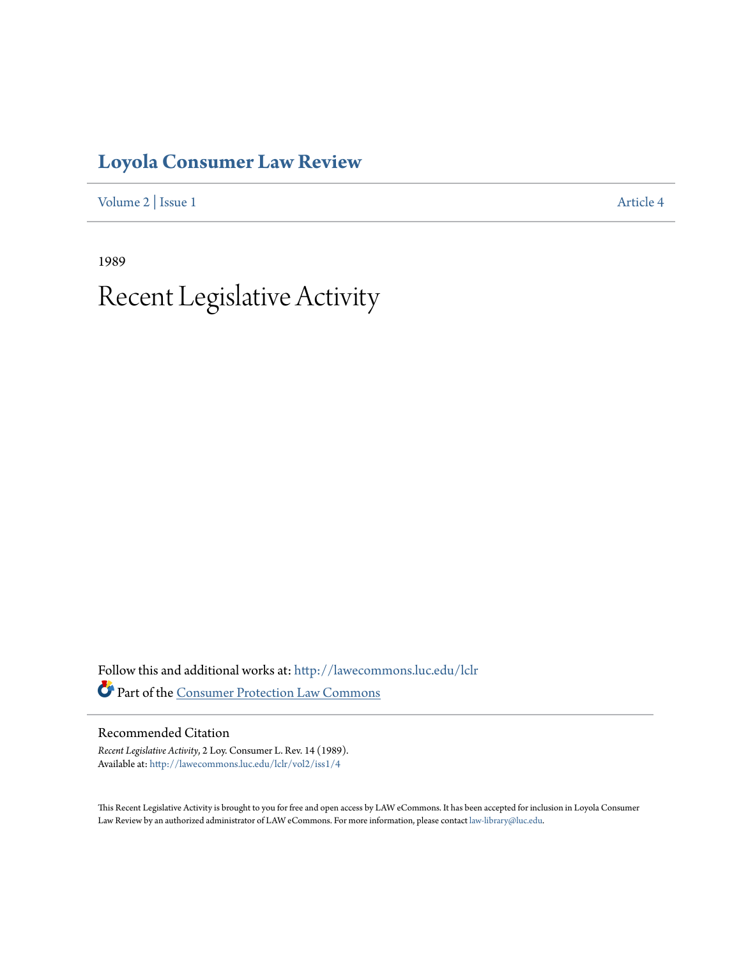### **[Loyola Consumer Law Review](http://lawecommons.luc.edu/lclr?utm_source=lawecommons.luc.edu%2Flclr%2Fvol2%2Fiss1%2F4&utm_medium=PDF&utm_campaign=PDFCoverPages)**

[Volume 2](http://lawecommons.luc.edu/lclr/vol2?utm_source=lawecommons.luc.edu%2Flclr%2Fvol2%2Fiss1%2F4&utm_medium=PDF&utm_campaign=PDFCoverPages) | [Issue 1](http://lawecommons.luc.edu/lclr/vol2/iss1?utm_source=lawecommons.luc.edu%2Flclr%2Fvol2%2Fiss1%2F4&utm_medium=PDF&utm_campaign=PDFCoverPages) [Article 4](http://lawecommons.luc.edu/lclr/vol2/iss1/4?utm_source=lawecommons.luc.edu%2Flclr%2Fvol2%2Fiss1%2F4&utm_medium=PDF&utm_campaign=PDFCoverPages)

1989

## Recent Legislative Activity

Follow this and additional works at: [http://lawecommons.luc.edu/lclr](http://lawecommons.luc.edu/lclr?utm_source=lawecommons.luc.edu%2Flclr%2Fvol2%2Fiss1%2F4&utm_medium=PDF&utm_campaign=PDFCoverPages) Part of the [Consumer Protection Law Commons](http://network.bepress.com/hgg/discipline/838?utm_source=lawecommons.luc.edu%2Flclr%2Fvol2%2Fiss1%2F4&utm_medium=PDF&utm_campaign=PDFCoverPages)

#### Recommended Citation

*Recent Legislative Activity*, 2 Loy. Consumer L. Rev. 14 (1989). Available at: [http://lawecommons.luc.edu/lclr/vol2/iss1/4](http://lawecommons.luc.edu/lclr/vol2/iss1/4?utm_source=lawecommons.luc.edu%2Flclr%2Fvol2%2Fiss1%2F4&utm_medium=PDF&utm_campaign=PDFCoverPages)

This Recent Legislative Activity is brought to you for free and open access by LAW eCommons. It has been accepted for inclusion in Loyola Consumer Law Review by an authorized administrator of LAW eCommons. For more information, please contact [law-library@luc.edu](mailto:law-library@luc.edu).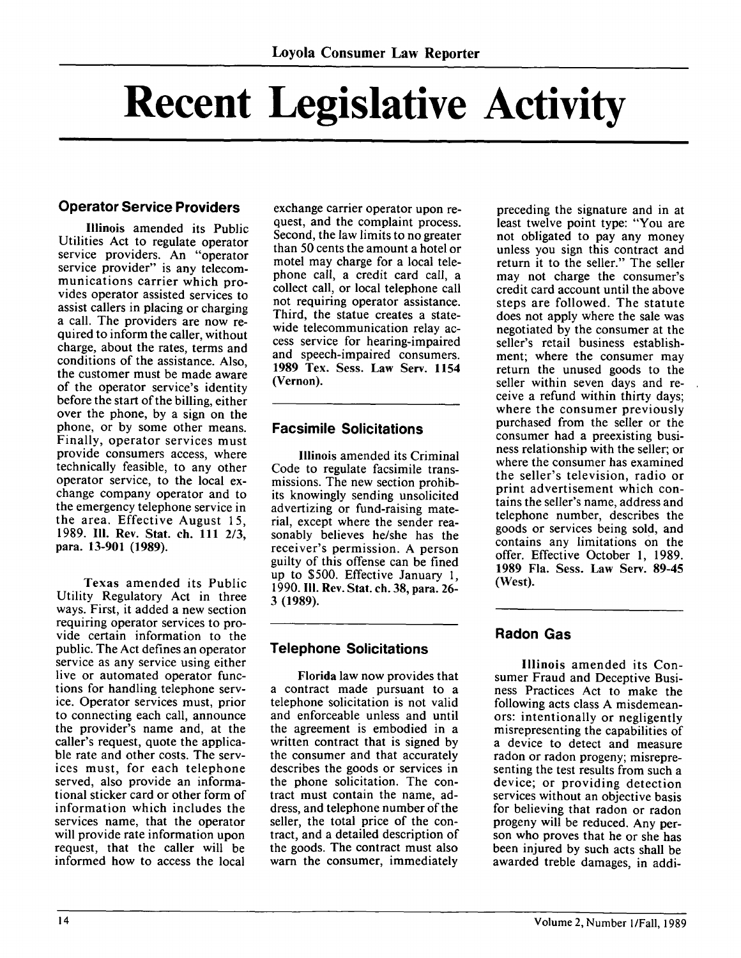# **Recent Legislative Activity**

#### **Operator Service Providers**

Illinois amended its Public Utilities Act to regulate operator service providers. An "operator service provider" is any telecommunications carrier which provides operator assisted services to assist callers in placing or charging a call. The providers are now required to inform the caller, without charge, about the rates, terms and conditions of the assistance. Also, the customer must be made aware of the operator service's identity before the start of the billing, either over the phone, by a sign on the phone, or by some other means. Finally, operator services must provide consumers access, where technically feasible, to any other operator service, to the local exchange company operator and to the emergency telephone service in the area. Effective August 15, 1989. **111.** Rev. Stat. ch. 111 2/3, para. 13-901 (1989).

Texas amended its Public Utility Regulatory Act in three ways. First, it added a new section requiring operator services to provide certain information to the public. The Act defines an operator service as any service using either live or automated operator functions for handling telephone service. Operator services must, prior to connecting each call, announce the provider's name and, at the caller's request, quote the applicable rate and other costs. The services must, for each telephone served, also provide an informational sticker card or other form of information which includes the services name, that the operator will provide rate information upon request, that the caller will be informed how to access the local

exchange carrier operator upon request, and the complaint process. Second, the law limits to no greater than 50 cents the amount a hotel or motel may charge for a local telephone call, a credit card call, a collect call, or local telephone call not requiring operator assistance. Third, the statue creates a statewide telecommunication relay access service for hearing-impaired and speech-impaired consumers. 1989 Tex. Sess. Law Serv. 1154 (Vernon).

#### **Facsimile Solicitations**

Illinois amended its Criminal Code to regulate facsimile transmissions. The new section prohibits knowingly sending unsolicited advertizing or fund-raising material, except where the sender reasonably believes he/she has the receiver's permission. A person guilty of this offense can be fined up to \$500. Effective January 1, 1990. **I11.** Rev. Stat. ch. 38, para. 26- 3 (1989).

#### **Telephone Solicitations**

Florida law now provides that a contract made pursuant to a telephone solicitation is not valid and enforceable unless and until the agreement is embodied in a written contract that is signed by the consumer and that accurately describes the goods or services in the phone solicitation. The contract must contain the name, address, and telephone number of the seller, the total price of the contract, and a detailed description of the goods. The contract must also warn the consumer, immediately

preceding the signature and in at least twelve point type: "You are not obligated to pay any money unless you sign this contract and return it to the seller." The seller may not charge the consumer's credit card account until the above steps are followed. The statute does not apply where the sale was negotiated by the consumer at the seller's retail business establishment; where the consumer may return the unused goods to the seller within seven days and receive a refund within thirty days; where the consumer previously purchased from the seller or the consumer had a preexisting business relationship with the seller; or where the consumer has examined the seller's television, radio or print advertisement which contains the seller's name, address and telephone number, describes the goods or services being sold, and contains any limitations on the offer. Effective October 1, 1989. **1989** Fla. Sess. Law Serv. **89-45** (West).

#### **Radon Gas**

Illinois amended its Consumer Fraud and Deceptive Business Practices Act to make the following acts class A misdemeanors: intentionally or negligently misrepresenting the capabilities of a device to detect and measure radon or radon progeny; misrepresenting the test results from such a device; or providing detection services without an objective basis for believing that radon or radon progeny will be reduced. Any person who proves that he or she has been injured by such acts shall be awarded treble damages, in addi